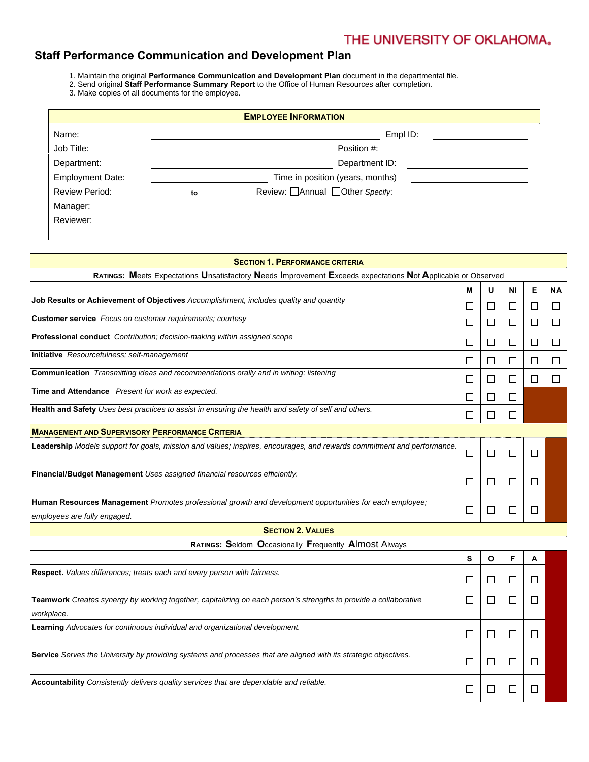## **Staff Performance Communication and Development Plan**

- 1. Maintain the original **Performance Communication and Development Plan** document in the departmental file.
- 2. Send original **Staff Performance Summary Report** to the Office of Human Resources after completion.
- 3. Make copies of all documents for the employee.

| <b>EMPLOYEE INFORMATION</b> |    |                                         |  |
|-----------------------------|----|-----------------------------------------|--|
| Name:                       |    | Empl ID:                                |  |
| Job Title:                  |    | Position #:                             |  |
| Department:                 |    | Department ID:                          |  |
| <b>Employment Date:</b>     |    | Time in position (years, months)        |  |
| <b>Review Period:</b>       | to | Review: <u>□</u> Annual □Other Specify: |  |
| Manager:                    |    |                                         |  |
| Reviewer:                   |    |                                         |  |

| <b>SECTION 1. PERFORMANCE CRITERIA</b>                                                                                                   |        |        |                |              |           |  |  |
|------------------------------------------------------------------------------------------------------------------------------------------|--------|--------|----------------|--------------|-----------|--|--|
| RATINGS: Meets Expectations Unsatisfactory Needs Improvement Exceeds expectations Not Applicable or Observed                             |        |        |                |              |           |  |  |
|                                                                                                                                          | М      | U      | NI             | Е            | <b>NA</b> |  |  |
| Job Results or Achievement of Objectives Accomplishment, includes quality and quantity                                                   | $\Box$ | $\Box$ | □              | □            | □         |  |  |
| Customer service Focus on customer requirements; courtesy                                                                                | $\Box$ | □      | □              | $\Box$       | □         |  |  |
| Professional conduct Contribution; decision-making within assigned scope                                                                 | □      | $\Box$ | □              | □            | □         |  |  |
| Initiative Resourcefulness; self-management                                                                                              | П      | □      | □              | □            | П         |  |  |
| Communication Transmitting ideas and recommendations orally and in writing; listening                                                    | ⊔      | □      | □              | □            | □         |  |  |
| Time and Attendance Present for work as expected.                                                                                        | $\Box$ | $\Box$ | $\Box$         |              |           |  |  |
| Health and Safety Uses best practices to assist in ensuring the health and safety of self and others.                                    | □      | П      | П              |              |           |  |  |
| <b>MANAGEMENT AND SUPERVISORY PERFORMANCE CRITERIA</b>                                                                                   |        |        |                |              |           |  |  |
| Leadership Models support for goals, mission and values; inspires, encourages, and rewards commitment and performance.                   | $\Box$ | $\Box$ | $\Box$         | □            |           |  |  |
| Financial/Budget Management Uses assigned financial resources efficiently.                                                               | □      | □      | □              | □            |           |  |  |
| Human Resources Management Promotes professional growth and development opportunities for each employee;<br>employees are fully engaged. |        |        | П              | П            |           |  |  |
| <b>SECTION 2. VALUES</b>                                                                                                                 |        |        |                |              |           |  |  |
| RATINGS: Seldom Occasionally Frequently Almost Always                                                                                    |        |        |                |              |           |  |  |
|                                                                                                                                          | s      | O      | F              | A            |           |  |  |
| Respect. Values differences; treats each and every person with fairness.                                                                 |        | □      | ப              | $\mathsf{L}$ |           |  |  |
| Teamwork Creates synergy by working together, capitalizing on each person's strengths to provide a collaborative<br>workplace.           |        | $\Box$ | $\mathbb{R}^n$ | $\Box$       |           |  |  |
| Learning Advocates for continuous individual and organizational development.                                                             | ப      | □      | □              | ⊔            |           |  |  |
| Service Serves the University by providing systems and processes that are aligned with its strategic objectives.                         | □      | □      | □              | ⊔            |           |  |  |
| Accountability Consistently delivers quality services that are dependable and reliable.                                                  |        |        | $\mathsf{L}$   | ΙI           |           |  |  |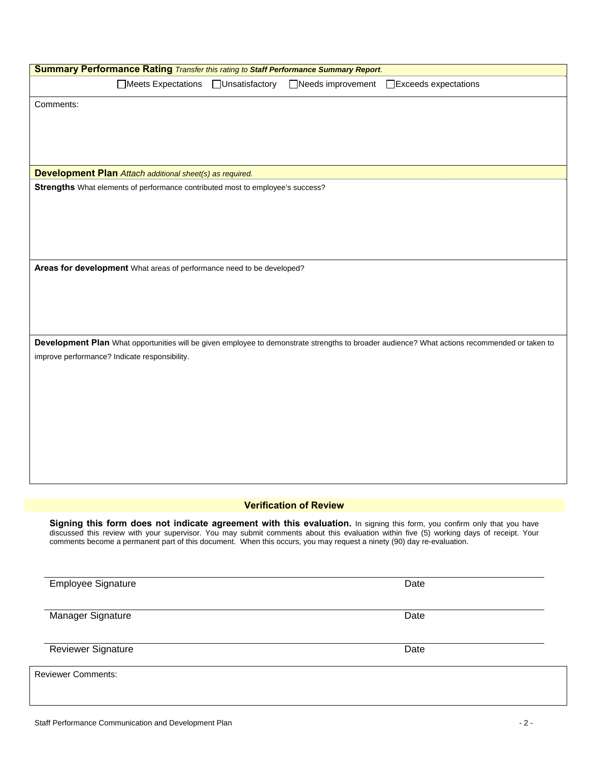| Summary Performance Rating Transfer this rating to Staff Performance Summary Report.                                  |                                                                                                                                                                                                                                                                     |
|-----------------------------------------------------------------------------------------------------------------------|---------------------------------------------------------------------------------------------------------------------------------------------------------------------------------------------------------------------------------------------------------------------|
| □Meets Expectations<br>□Unsatisfactory                                                                                | □Needs improvement<br>□Exceeds expectations                                                                                                                                                                                                                         |
| Comments:                                                                                                             |                                                                                                                                                                                                                                                                     |
|                                                                                                                       |                                                                                                                                                                                                                                                                     |
|                                                                                                                       |                                                                                                                                                                                                                                                                     |
|                                                                                                                       |                                                                                                                                                                                                                                                                     |
| <b>Development Plan</b> Attach additional sheet(s) as required.                                                       |                                                                                                                                                                                                                                                                     |
| Strengths What elements of performance contributed most to employee's success?                                        |                                                                                                                                                                                                                                                                     |
|                                                                                                                       |                                                                                                                                                                                                                                                                     |
|                                                                                                                       |                                                                                                                                                                                                                                                                     |
|                                                                                                                       |                                                                                                                                                                                                                                                                     |
|                                                                                                                       |                                                                                                                                                                                                                                                                     |
| Areas for development What areas of performance need to be developed?                                                 |                                                                                                                                                                                                                                                                     |
|                                                                                                                       |                                                                                                                                                                                                                                                                     |
|                                                                                                                       |                                                                                                                                                                                                                                                                     |
|                                                                                                                       |                                                                                                                                                                                                                                                                     |
|                                                                                                                       | Development Plan What opportunities will be given employee to demonstrate strengths to broader audience? What actions recommended or taken to                                                                                                                       |
| improve performance? Indicate responsibility.                                                                         |                                                                                                                                                                                                                                                                     |
|                                                                                                                       |                                                                                                                                                                                                                                                                     |
|                                                                                                                       |                                                                                                                                                                                                                                                                     |
|                                                                                                                       |                                                                                                                                                                                                                                                                     |
|                                                                                                                       |                                                                                                                                                                                                                                                                     |
|                                                                                                                       |                                                                                                                                                                                                                                                                     |
|                                                                                                                       |                                                                                                                                                                                                                                                                     |
|                                                                                                                       |                                                                                                                                                                                                                                                                     |
|                                                                                                                       |                                                                                                                                                                                                                                                                     |
|                                                                                                                       | <b>Verification of Review</b>                                                                                                                                                                                                                                       |
| comments become a permanent part of this document. When this occurs, you may request a ninety (90) day re-evaluation. | Signing this form does not indicate agreement with this evaluation. In signing this form, you confirm only that you have<br>discussed this review with your supervisor. You may submit comments about this evaluation within five (5) working days of receipt. Your |
| <b>Employee Signature</b>                                                                                             | Date                                                                                                                                                                                                                                                                |
|                                                                                                                       |                                                                                                                                                                                                                                                                     |
| Manager Signature                                                                                                     | Date                                                                                                                                                                                                                                                                |
|                                                                                                                       |                                                                                                                                                                                                                                                                     |
| <b>Reviewer Signature</b>                                                                                             | Date                                                                                                                                                                                                                                                                |
| <b>Reviewer Comments:</b>                                                                                             |                                                                                                                                                                                                                                                                     |
|                                                                                                                       |                                                                                                                                                                                                                                                                     |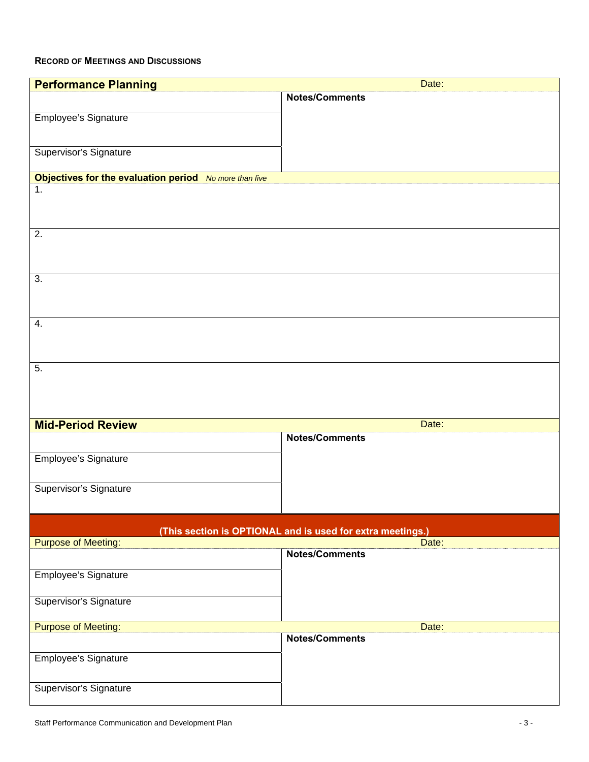## **RECORD OF MEETINGS AND DISCUSSIONS**

| <b>Performance Planning</b>                                | Date:                 |  |  |  |  |  |
|------------------------------------------------------------|-----------------------|--|--|--|--|--|
|                                                            | <b>Notes/Comments</b> |  |  |  |  |  |
|                                                            |                       |  |  |  |  |  |
| Employee's Signature                                       |                       |  |  |  |  |  |
|                                                            |                       |  |  |  |  |  |
| Supervisor's Signature                                     |                       |  |  |  |  |  |
|                                                            |                       |  |  |  |  |  |
| Objectives for the evaluation period No more than five     |                       |  |  |  |  |  |
| 1.                                                         |                       |  |  |  |  |  |
|                                                            |                       |  |  |  |  |  |
|                                                            |                       |  |  |  |  |  |
| 2.                                                         |                       |  |  |  |  |  |
|                                                            |                       |  |  |  |  |  |
|                                                            |                       |  |  |  |  |  |
|                                                            |                       |  |  |  |  |  |
| 3.                                                         |                       |  |  |  |  |  |
|                                                            |                       |  |  |  |  |  |
|                                                            |                       |  |  |  |  |  |
| 4.                                                         |                       |  |  |  |  |  |
|                                                            |                       |  |  |  |  |  |
|                                                            |                       |  |  |  |  |  |
|                                                            |                       |  |  |  |  |  |
| 5.                                                         |                       |  |  |  |  |  |
|                                                            |                       |  |  |  |  |  |
|                                                            |                       |  |  |  |  |  |
|                                                            |                       |  |  |  |  |  |
| <b>Mid-Period Review</b>                                   | Date:                 |  |  |  |  |  |
|                                                            | <b>Notes/Comments</b> |  |  |  |  |  |
|                                                            |                       |  |  |  |  |  |
| Employee's Signature                                       |                       |  |  |  |  |  |
|                                                            |                       |  |  |  |  |  |
| Supervisor's Signature                                     |                       |  |  |  |  |  |
|                                                            |                       |  |  |  |  |  |
|                                                            |                       |  |  |  |  |  |
| (This section is OPTIONAL and is used for extra meetings.) |                       |  |  |  |  |  |
| <b>Purpose of Meeting:</b>                                 | Date:                 |  |  |  |  |  |
|                                                            | Notes/Comments        |  |  |  |  |  |
| Employee's Signature                                       |                       |  |  |  |  |  |
|                                                            |                       |  |  |  |  |  |
|                                                            |                       |  |  |  |  |  |
| Supervisor's Signature                                     |                       |  |  |  |  |  |
| <b>Purpose of Meeting:</b>                                 | Date:                 |  |  |  |  |  |
|                                                            | <b>Notes/Comments</b> |  |  |  |  |  |
|                                                            |                       |  |  |  |  |  |
| Employee's Signature                                       |                       |  |  |  |  |  |
|                                                            |                       |  |  |  |  |  |
| Supervisor's Signature                                     |                       |  |  |  |  |  |
|                                                            |                       |  |  |  |  |  |